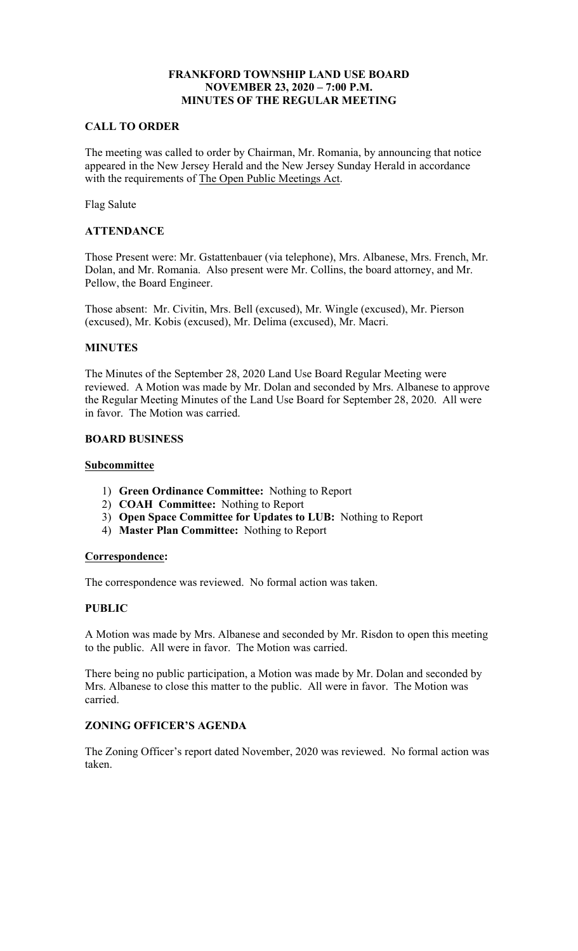## **NOVEMBER 23, 2020 – 7:00 P.M. FRANKFORD TOWNSHIP LAND USE BOARD MINUTES OF THE REGULAR MEETING**

#### **CALL TO ORDER**

with the requirements of The Open Public Meetings Act. The meeting was called to order by Chairman, Mr. Romania, by announcing that notice appeared in the New Jersey Herald and the New Jersey Sunday Herald in accordance

Flag Salute

## **ATTENDANCE**

 Dolan, and Mr. Romania. Also present were Mr. Collins, the board attorney, and Mr. Those Present were: Mr. Gstattenbauer (via telephone), Mrs. Albanese, Mrs. French, Mr. Pellow, the Board Engineer.

 Those absent: Mr. Civitin, Mrs. Bell (excused), Mr. Wingle (excused), Mr. Pierson (excused), Mr. Kobis (excused), Mr. Delima (excused), Mr. Macri.

#### **MINUTES**

 reviewed. A Motion was made by Mr. Dolan and seconded by Mrs. Albanese to approve The Minutes of the September 28, 2020 Land Use Board Regular Meeting were the Regular Meeting Minutes of the Land Use Board for September 28, 2020. All were in favor. The Motion was carried.

## **BOARD BUSINESS**

#### **Subcommittee**

- 1) **Green Ordinance Committee:** Nothing to Report
- 2) **COAH Committee:** Nothing to Report
- 3) **Open Space Committee for Updates to LUB:** Nothing to Report
- 4) **Master Plan Committee:** Nothing to Report

#### **Correspondence:**

The correspondence was reviewed. No formal action was taken.

## **PUBLIC**

A Motion was made by Mrs. Albanese and seconded by Mr. Risdon to open this meeting to the public. All were in favor. The Motion was carried.

There being no public participation, a Motion was made by Mr. Dolan and seconded by Mrs. Albanese to close this matter to the public. All were in favor. The Motion was carried.

## **ZONING OFFICER'S AGENDA**

The Zoning Officer's report dated November, 2020 was reviewed. No formal action was taken.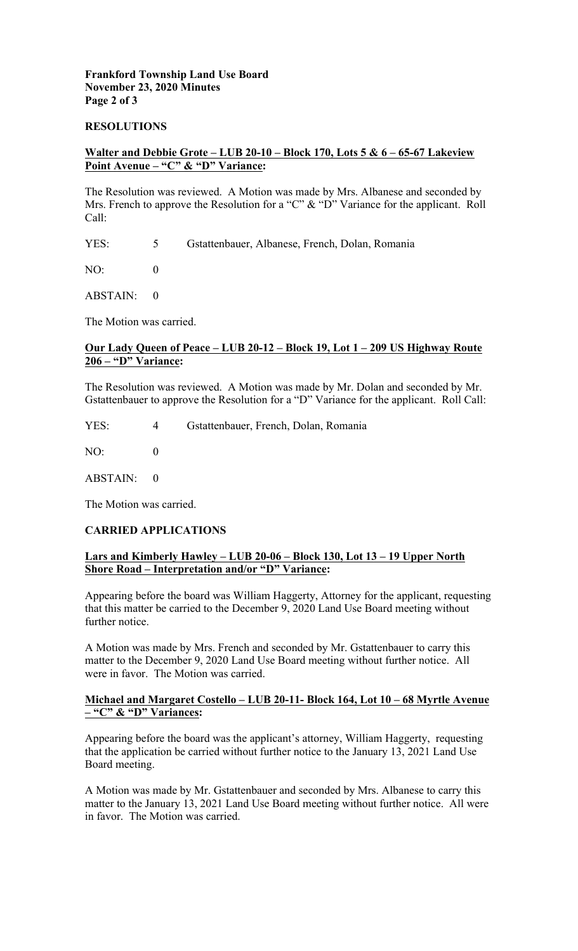## **Frankford Township Land Use Board November 23, 2020 Minutes Page 2 of 3**

#### **RESOLUTIONS**

## **Walter and Debbie Grote – LUB 20-10 – Block 170, Lots 5 & 6 – 65-67 Lakeview Point Avenue – "C" & "D" Variance:**

Mrs. French to approve the Resolution for a "C" & "D" Variance for the applicant. Roll The Resolution was reviewed. A Motion was made by Mrs. Albanese and seconded by Call:

YES: 5 Gstattenbauer, Albanese, French, Dolan, Romania

NO: 0

ABSTAIN: 0

The Motion was carried.

## **Our Lady Queen of Peace – LUB 20-12 – Block 19, Lot 1 – 209 US Highway Route 206 – "D" Variance:**

The Resolution was reviewed. A Motion was made by Mr. Dolan and seconded by Mr. Gstattenbauer to approve the Resolution for a "D" Variance for the applicant. Roll Call:

YES: 4 Gstattenbauer, French, Dolan, Romania

NO: 0

ABSTAIN: 0

The Motion was carried.

## **CARRIED APPLICATIONS**

## **Shore Road – Interpretation and/or "D" Variance: Lars and Kimberly Hawley – LUB 20-06 – Block 130, Lot 13 – 19 Upper North**

further notice. Appearing before the board was William Haggerty, Attorney for the applicant, requesting that this matter be carried to the December 9, 2020 Land Use Board meeting without

A Motion was made by Mrs. French and seconded by Mr. Gstattenbauer to carry this matter to the December 9, 2020 Land Use Board meeting without further notice. All were in favor. The Motion was carried.

#### **Michael and Margaret Costello – LUB 20-11- Block 164, Lot 10 – 68 Myrtle Avenue – "C" & "D" Variances:**

 that the application be carried without further notice to the January 13, 2021 Land Use Appearing before the board was the applicant's attorney, William Haggerty, requesting Board meeting.

 A Motion was made by Mr. Gstattenbauer and seconded by Mrs. Albanese to carry this matter to the January 13, 2021 Land Use Board meeting without further notice. All were in favor. The Motion was carried.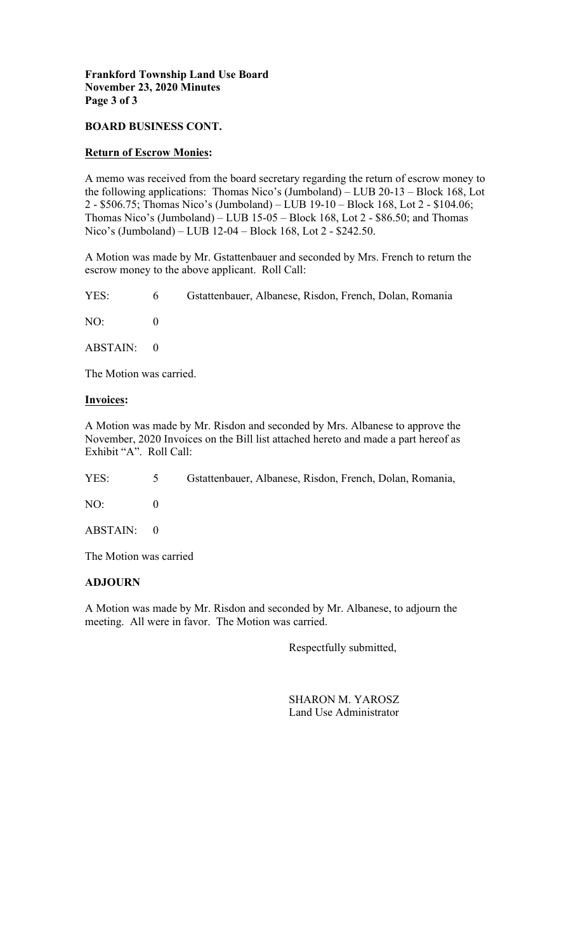## **Frankford Township Land Use Board November 23, 2020 Minutes Page 3 of 3**

## **BOARD BUSINESS CONT.**

#### **Return of Escrow Monies:**

 2 - \$506.75; Thomas Nico's (Jumboland) – LUB 19-10 – Block 168, Lot 2 - \$104.06; Nico's (Jumboland) – LUB 12-04 – Block 168, Lot 2 - \$242.50. A memo was received from the board secretary regarding the return of escrow money to the following applications: Thomas Nico's (Jumboland) – LUB 20-13 – Block 168, Lot Thomas Nico's (Jumboland) – LUB 15-05 – Block 168, Lot 2 - \$86.50; and Thomas

A Motion was made by Mr. Gstattenbauer and seconded by Mrs. French to return the escrow money to the above applicant. Roll Call:

YES: NO: 0 6 Gstattenbauer, Albanese, Risdon, French, Dolan, Romania

ABSTAIN: 0

The Motion was carried.

#### **Invoices:**

A Motion was made by Mr. Risdon and seconded by Mrs. Albanese to approve the November, 2020 Invoices on the Bill list attached hereto and made a part hereof as Exhibit "A". Roll Call:

| YES: | $5\qquad$ | Gstattenbauer, Albanese, Risdon, French, Dolan, Romania, |
|------|-----------|----------------------------------------------------------|
| NO:  |           |                                                          |

ABSTAIN: 0

The Motion was carried

## **ADJOURN**

A Motion was made by Mr. Risdon and seconded by Mr. Albanese, to adjourn the meeting. All were in favor. The Motion was carried.

Respectfully submitted,

SHARON M. YAROSZ Land Use Administrator